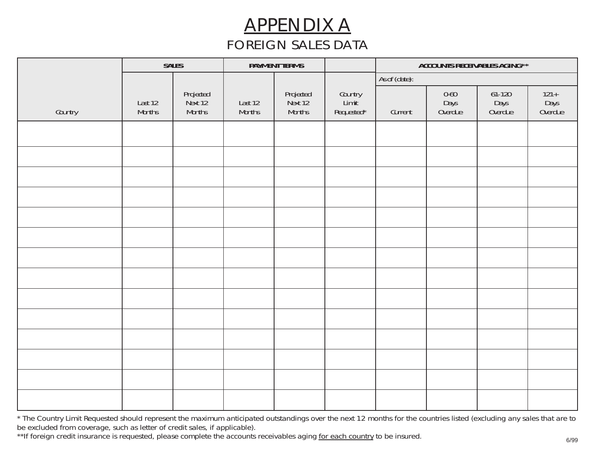# APPENDIX A *FOREIGN SALES DATA*

|         | <b>SALES</b>      |                                | <b>PAYMENT TERMS</b>     |                                | ACCOUNTS RECEIVABLES AGING**   |               |                         |                             |                          |
|---------|-------------------|--------------------------------|--------------------------|--------------------------------|--------------------------------|---------------|-------------------------|-----------------------------|--------------------------|
|         |                   |                                |                          |                                |                                | As of (date): |                         |                             |                          |
| Country | Last 12<br>Months | Projected<br>Next 12<br>Months | Last 12<br><b>Months</b> | Projected<br>Next 12<br>Months | Country<br>Limit<br>Requested* | Current       | 0-60<br>Days<br>Overdue | $61-120$<br>Days<br>Overdue | 121 +<br>Days<br>Overdue |
|         |                   |                                |                          |                                |                                |               |                         |                             |                          |
|         |                   |                                |                          |                                |                                |               |                         |                             |                          |
|         |                   |                                |                          |                                |                                |               |                         |                             |                          |
|         |                   |                                |                          |                                |                                |               |                         |                             |                          |
|         |                   |                                |                          |                                |                                |               |                         |                             |                          |
|         |                   |                                |                          |                                |                                |               |                         |                             |                          |
|         |                   |                                |                          |                                |                                |               |                         |                             |                          |
|         |                   |                                |                          |                                |                                |               |                         |                             |                          |
|         |                   |                                |                          |                                |                                |               |                         |                             |                          |
|         |                   |                                |                          |                                |                                |               |                         |                             |                          |
|         |                   |                                |                          |                                |                                |               |                         |                             |                          |
|         |                   |                                |                          |                                |                                |               |                         |                             |                          |
|         |                   |                                |                          |                                |                                |               |                         |                             |                          |
|         |                   |                                |                          |                                |                                |               |                         |                             |                          |

*\* The Country Limit Requested should represent the maximum anticipated outstandings over the next 12 months for the countries listed (excluding any sales that are to be excluded from coverage, such as letter of credit sales, if applicable).*

\*\*If foreign credit insurance is requested, please complete the accounts receivables aging <u>for each country</u> to be insured.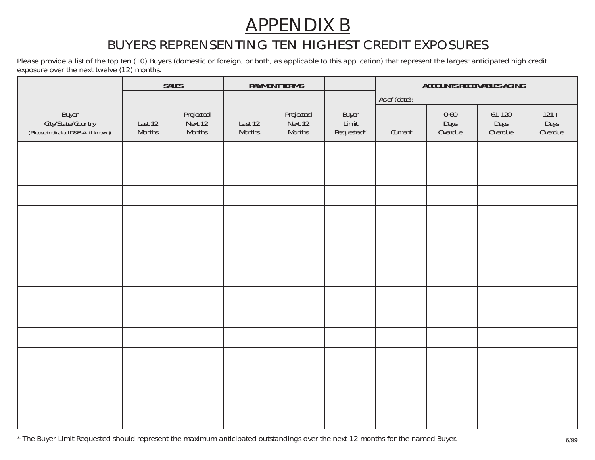### APPENDIX B

#### *BUYERS REPRENSENTING TEN HIGHEST CREDIT EXPOSURES*

*Please provide a list of the top ten (10) Buyers (domestic or foreign, or both, as applicable to this application) that represent the largest anticipated high credit exposure over the next twelve (12) months.*

|                                                                  |                          | <b>SALES</b>                          | <b>PAYMENT TERMS</b>     |                                       |                              | <b>ACCOUNTS RECEIVABLES AGING</b> |                             |                             |                            |
|------------------------------------------------------------------|--------------------------|---------------------------------------|--------------------------|---------------------------------------|------------------------------|-----------------------------------|-----------------------------|-----------------------------|----------------------------|
|                                                                  |                          |                                       |                          |                                       |                              | As of (date):                     |                             |                             |                            |
| Buyer<br>City/State/Country<br>(Please indicated D&B # if known) | Last 12<br><b>Months</b> | Projected<br>Next 12<br><b>Months</b> | Last 12<br><b>Months</b> | Projected<br>Next 12<br><b>Months</b> | Buyer<br>Limit<br>Requested* | Current                           | $0 - 60$<br>Days<br>Overdue | $61-120$<br>Days<br>Overdue | $121 +$<br>Days<br>Overdue |
|                                                                  |                          |                                       |                          |                                       |                              |                                   |                             |                             |                            |
|                                                                  |                          |                                       |                          |                                       |                              |                                   |                             |                             |                            |
|                                                                  |                          |                                       |                          |                                       |                              |                                   |                             |                             |                            |
|                                                                  |                          |                                       |                          |                                       |                              |                                   |                             |                             |                            |
|                                                                  |                          |                                       |                          |                                       |                              |                                   |                             |                             |                            |
|                                                                  |                          |                                       |                          |                                       |                              |                                   |                             |                             |                            |
|                                                                  |                          |                                       |                          |                                       |                              |                                   |                             |                             |                            |
|                                                                  |                          |                                       |                          |                                       |                              |                                   |                             |                             |                            |
|                                                                  |                          |                                       |                          |                                       |                              |                                   |                             |                             |                            |
|                                                                  |                          |                                       |                          |                                       |                              |                                   |                             |                             |                            |
|                                                                  |                          |                                       |                          |                                       |                              |                                   |                             |                             |                            |
|                                                                  |                          |                                       |                          |                                       |                              |                                   |                             |                             |                            |
|                                                                  |                          |                                       |                          |                                       |                              |                                   |                             |                             |                            |
|                                                                  |                          |                                       |                          |                                       |                              |                                   |                             |                             |                            |

*\* The Buyer Limit Requested should represent the maximum anticipated outstandings over the next 12 months for the named Buyer.* 6/99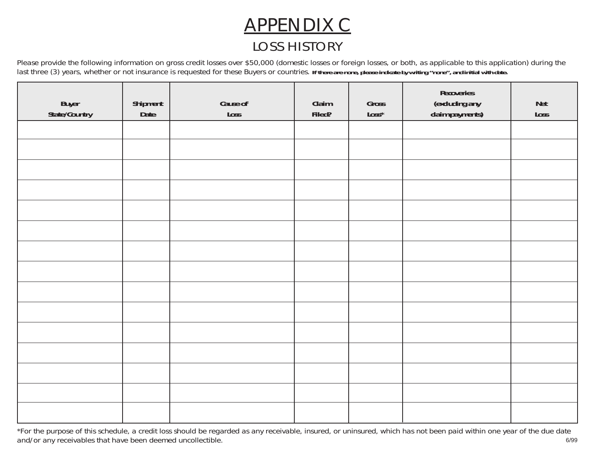# APPENDIX C *LOSS HISTORY*

*Please provide the following information on gross credit losses over \$50,000 (domestic losses or foreign losses, or both, as applicable to this application) during the* last three (3) years, whether or not insurance is requested for these Buyers or countries. If there are none, please indicate by writing "none", and initial with date.

| Buyer<br>State/Country | Shipment<br>Date | Cause of<br>Loss | Claim<br>Filed? | Gross<br>$\mathsf{Loss}^{\star}$ | Recoveries<br>(excluding any<br>claim payments) | <b>Net</b><br>Loss |
|------------------------|------------------|------------------|-----------------|----------------------------------|-------------------------------------------------|--------------------|
|                        |                  |                  |                 |                                  |                                                 |                    |
|                        |                  |                  |                 |                                  |                                                 |                    |
|                        |                  |                  |                 |                                  |                                                 |                    |
|                        |                  |                  |                 |                                  |                                                 |                    |
|                        |                  |                  |                 |                                  |                                                 |                    |
|                        |                  |                  |                 |                                  |                                                 |                    |
|                        |                  |                  |                 |                                  |                                                 |                    |
|                        |                  |                  |                 |                                  |                                                 |                    |
|                        |                  |                  |                 |                                  |                                                 |                    |
|                        |                  |                  |                 |                                  |                                                 |                    |
|                        |                  |                  |                 |                                  |                                                 |                    |
|                        |                  |                  |                 |                                  |                                                 |                    |
|                        |                  |                  |                 |                                  |                                                 |                    |
|                        |                  |                  |                 |                                  |                                                 |                    |
|                        |                  |                  |                 |                                  |                                                 |                    |

*\*For the purpose of this schedule, a credit loss should be regarded as any receivable, insured, or uninsured, which has not been paid within one year of the due date and/or any receivables that have been deemed uncollectible.* 6/99